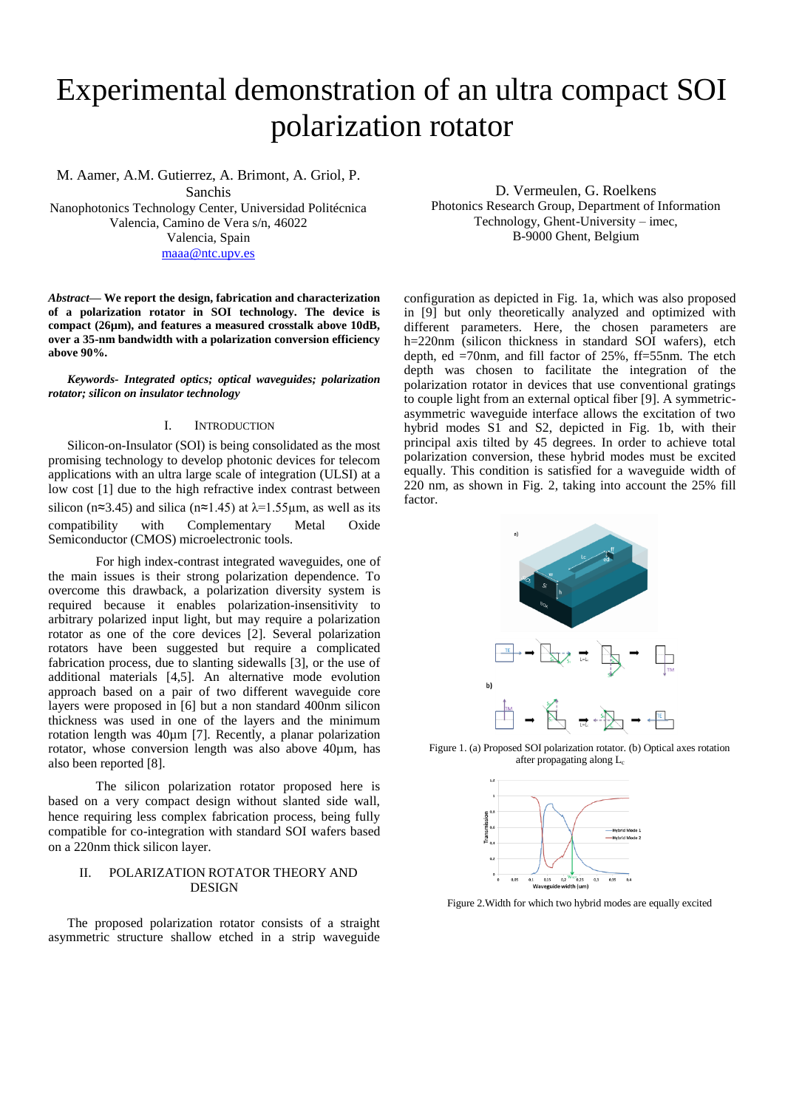# Experimental demonstration of an ultra compact SOI polarization rotator

M. Aamer, A.M. Gutierrez, A. Brimont, A. Griol, P. Sanchis Nanophotonics Technology Center, Universidad Politécnica Valencia, Camino de Vera s/n, 46022 Valencia, Spain [maaa@ntc.upv.es](mailto:maaa@ntc.upv.es)

*Abstract***— We report the design, fabrication and characterization of a polarization rotator in SOI technology. The device is compact (26µm), and features a measured crosstalk above 10dB, over a 35-nm bandwidth with a polarization conversion efficiency above 90%.**

*Keywords- Integrated optics; optical waveguides; polarization rotator; silicon on insulator technology*

## I. INTRODUCTION

Silicon-on-Insulator (SOI) is being consolidated as the most promising technology to develop photonic devices for telecom applications with an ultra large scale of integration (ULSI) at a low cost [1] due to the high refractive index contrast between silicon (n≈3.45) and silica (n≈1.45) at  $\lambda$ =1.55µm, as well as its compatibility with Complementary Metal Oxide Semiconductor (CMOS) microelectronic tools.

For high index-contrast integrated waveguides, one of the main issues is their strong polarization dependence. To overcome this drawback, a polarization diversity system is required because it enables polarization-insensitivity to arbitrary polarized input light, but may require a polarization rotator as one of the core devices [2]. Several polarization rotators have been suggested but require a complicated fabrication process, due to slanting sidewalls [3], or the use of additional materials [4,5]. An alternative mode evolution approach based on a pair of two different waveguide core layers were proposed in [6] but a non standard 400nm silicon thickness was used in one of the layers and the minimum rotation length was 40µm [7]. Recently, a planar polarization rotator, whose conversion length was also above 40µm, has also been reported [8].

The silicon polarization rotator proposed here is based on a very compact design without slanted side wall, hence requiring less complex fabrication process, being fully compatible for co-integration with standard SOI wafers based on a 220nm thick silicon layer.

## II. POLARIZATION ROTATOR THEORY AND DESIGN

The proposed polarization rotator consists of a straight asymmetric structure shallow etched in a strip waveguide

D. Vermeulen, G. Roelkens Photonics Research Group, Department of Information Technology, Ghent-University – imec, B-9000 Ghent, Belgium

configuration as depicted in Fig. 1a, which was also proposed in [9] but only theoretically analyzed and optimized with different parameters. Here, the chosen parameters are h=220nm (silicon thickness in standard SOI wafers), etch depth, ed =70nm, and fill factor of 25%, ff=55nm. The etch depth was chosen to facilitate the integration of the polarization rotator in devices that use conventional gratings to couple light from an external optical fiber [9]. A symmetricasymmetric waveguide interface allows the excitation of two hybrid modes S1 and S2, depicted in Fig. 1b, with their principal axis tilted by 45 degrees. In order to achieve total polarization conversion, these hybrid modes must be excited equally. This condition is satisfied for a waveguide width of 220 nm, as shown in Fig. 2, taking into account the 25% fill factor.



Figure 1. (a) Proposed SOI polarization rotator. (b) Optical axes rotation after propagating along L<sub>c</sub>



Figure 2.Width for which two hybrid modes are equally excited